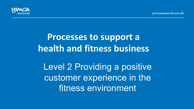ymcaawards.co.uk



# **Processes to support a health and fitness business**

Level 2 Providing a positive customer experience in the fitness environment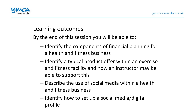

#### Learning outcomes

By the end of this session you will be able to:

- $-$  Identify the components of financial planning for a health and fitness business
- $-$  Identify a typical product offer within an exercise and fitness facility and how an instructor may be able to support this
- $-$  Describe the use of social media within a health and fitness business
- $-$  Identify how to set up a social media/digital profile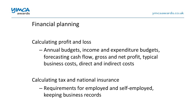

#### Financial planning

Calculating profit and loss

– Annual budgets, income and expenditure budgets, forecasting cash flow, gross and net profit, typical business costs, direct and indirect costs

Calculating tax and national insurance

– Requirements for employed and self-employed, keeping business records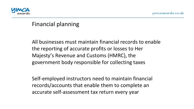

#### Financial planning

All businesses must maintain financial records to enable the reporting of accurate profits or losses to Her Majesty's Revenue and Customs (HMRC), the government body responsible for collecting taxes

Self-employed instructors need to maintain financial records/accounts that enable them to complete an accurate self-assessment tax return every year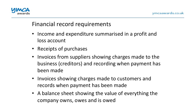

# Financial record requirements

- Income and expenditure summarised in a profit and loss account
- Receipts of purchases
- Invoices from suppliers showing charges made to the business (creditors) and recording when payment has been made
- Invoices showing charges made to customers and records when payment has been made
- A balance sheet showing the value of everything the company owns, owes and is owed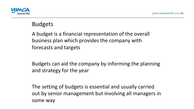

# Budgets

A budget is a financial representation of the overall business plan which provides the company with forecasts and targets

Budgets can aid the company by informing the planning and strategy for the year

The setting of budgets is essential and usually carried out by senior management but involving all managers in some way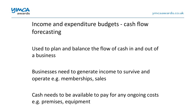

# Income and expenditure budgets - cash flow forecasting

Used to plan and balance the flow of cash in and out of a business 

Businesses need to generate income to survive and operate e.g. memberships, sales

Cash needs to be available to pay for any ongoing costs e.g. premises, equipment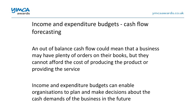

# Income and expenditure budgets - cash flow forecasting

An out of balance cash flow could mean that a business may have plenty of orders on their books, but they cannot afford the cost of producing the product or providing the service

Income and expenditure budgets can enable organisations to plan and make decisions about the cash demands of the business in the future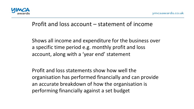

#### Profit and loss account  $-$  statement of income

Shows all income and expenditure for the business over a specific time period e.g. monthly profit and loss account, along with a 'year end' statement

Profit and loss statements show how well the organisation has performed financially and can provide an accurate breakdown of how the organisation is performing financially against a set budget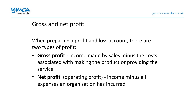

Gross and net profit

When preparing a profit and loss account, there are two types of profit:

- **Gross profit** income made by sales minus the costs associated with making the product or providing the service
- **Net profit** (operating profit) income minus all expenses an organisation has incurred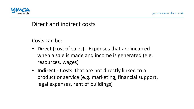

#### Direct and indirect costs

Costs can be:

- **Direct** (cost of sales) Expenses that are incurred when a sale is made and income is generated (e.g. resources, wages)
- **Indirect** Costs that are not directly linked to a product or service (e.g. marketing, financial support, legal expenses, rent of buildings)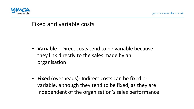



#### Fixed and variable costs

- Variable Direct costs tend to be variable because they link directly to the sales made by an organisation
- **Fixed** (overheads)- Indirect costs can be fixed or variable, although they tend to be fixed, as they are independent of the organisation's sales performance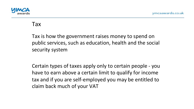

#### Tax

Tax is how the government raises money to spend on public services, such as education, health and the social security system

Certain types of taxes apply only to certain people - you have to earn above a certain limit to qualify for income tax and if you are self-employed you may be entitled to claim back much of your VAT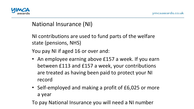

# National Insurance (NI)

NI contributions are used to fund parts of the welfare state (pensions, NHS)

You pay NI if aged 16 or over and:

- An employee earning above £157 a week. If you earn between £113 and £157 a week, your contributions are treated as having been paid to protect your NI record
- Self-employed and making a profit of £6,025 or more a year

To pay National Insurance you will need a NI number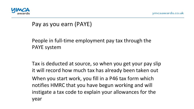

#### Pay as you earn (PAYE)

#### People in full-time employment pay tax through the PAYE system

Tax is deducted at source, so when you get your pay slip it will record how much tax has already been taken out When you start work, you fill in a P46 tax form which notifies HMRC that you have begun working and will instigate a tax code to explain your allowances for the year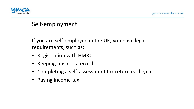

# Self-employment

If you are self-employed in the UK, you have legal requirements, such as:

- Registration with HMRC
- Keeping business records
- Completing a self-assessment tax return each year
- Paying income tax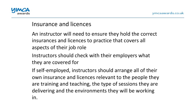

#### Insurance and licences

- An instructor will need to ensure they hold the correct insurances and licences to practice that covers all aspects of their job role
- Instructors should check with their employers what they are covered for
- If self-employed, instructors should arrange all of their own insurance and licences relevant to the people they are training and teaching, the type of sessions they are delivering and the environments they will be working in.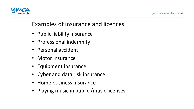

# Examples of insurance and licences

- Public liability insurance
- Professional indemnity
- Personal accident
- Motor insurance
- Equipment insurance
- Cyber and data risk insurance
- Home business insurance
- Playing music in public /music licenses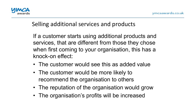

# Selling additional services and products

If a customer starts using additional products and services, that are different from those they chose when first coming to your organisation, this has a knock-on effect:

- The customer would see this as added value
- The customer would be more likely to recommend the organisation to others
- The reputation of the organisation would grow
- The organisation's profits will be increased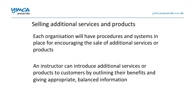

# Selling additional services and products

Each organisation will have procedures and systems in place for encouraging the sale of additional services or products 

An instructor can introduce additional services or products to customers by outlining their benefits and giving appropriate, balanced information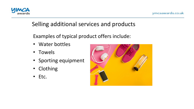

# Selling additional services and products

Examples of typical product offers include:

- Water bottles
- Towels
- Sporting equipment
- Clothing
- Etc.

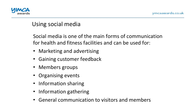

# Using social media

Social media is one of the main forms of communication for health and fitness facilities and can be used for:

- Marketing and advertising
- Gaining customer feedback
- Members groups
- Organising events
- Information sharing
- Information gathering
- General communication to visitors and members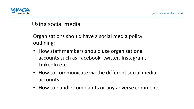

# Using social media

Organisations should have a social media policy outlining: 

- How staff members should use organisational accounts such as Facebook, twitter, Instagram, LinkedIn etc.
- How to communicate via the different social media accounts
- How to handle complaints or any adverse comments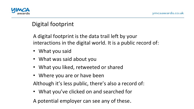

# Digital footprint

A digital footprint is the data trail left by your interactions in the digital world. It is a public record of:

- What you said
- What was said about you
- What you liked, retweeted or shared
- Where you are or have been

Although it's less public, there's also a record of:

• What you've clicked on and searched for

A potential employer can see any of these.